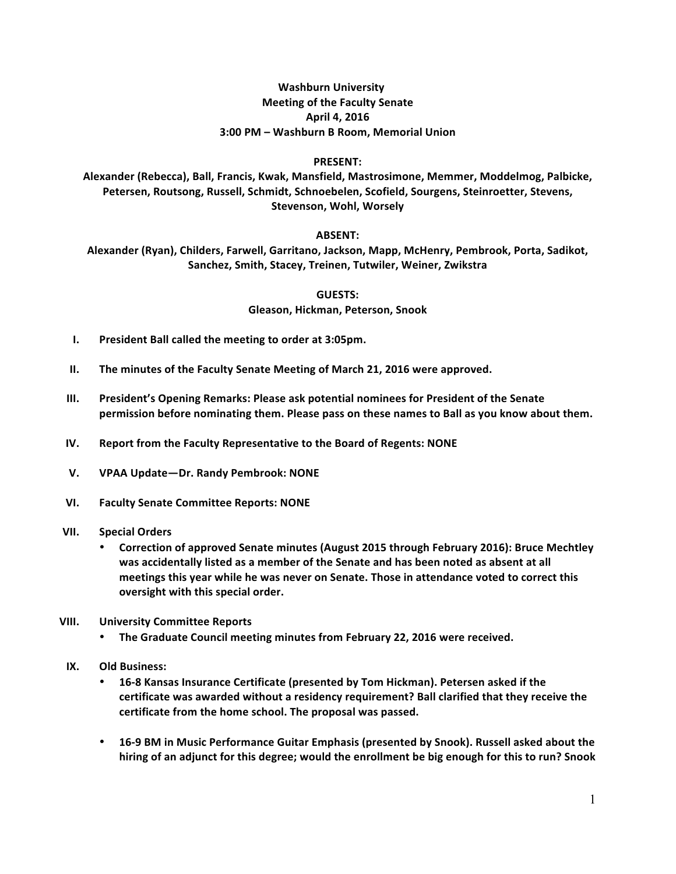## **Washburn University Meeting of the Faculty Senate April 4, 2016 3:00 PM – Washburn B Room, Memorial Union**

## **PRESENT:**

Alexander (Rebecca), Ball, Francis, Kwak, Mansfield, Mastrosimone, Memmer, Moddelmog, Palbicke, Petersen, Routsong, Russell, Schmidt, Schnoebelen, Scofield, Sourgens, Steinroetter, Stevens, **Stevenson, Wohl, Worsely**

## **ABSENT:**

Alexander (Ryan), Childers, Farwell, Garritano, Jackson, Mapp, McHenry, Pembrook, Porta, Sadikot, Sanchez, Smith, Stacey, Treinen, Tutwiler, Weiner, Zwikstra

> **GUESTS: Gleason, Hickman, Peterson, Snook**

- **I.** President Ball called the meeting to order at 3:05pm.
- **II.** The minutes of the Faculty Senate Meeting of March 21, 2016 were approved.
- **III.** President's Opening Remarks: Please ask potential nominees for President of the Senate permission before nominating them. Please pass on these names to Ball as you know about them.
- **IV.** Report from the Faculty Representative to the Board of Regents: NONE
- **V. VPAA Update—Dr. Randy Pembrook: NONE**
- **VI. Faculty Senate Committee Reports: NONE**
- **VII. Special Orders**
	- Correction of approved Senate minutes (August 2015 through February 2016): Bruce Mechtley was accidentally listed as a member of the Senate and has been noted as absent at all meetings this year while he was never on Senate. Those in attendance voted to correct this **oversight with this special order.**
- **VIII. University Committee Reports**
	- **The Graduate Council meeting minutes from February 22, 2016 were received.**
- **IX. Old Business:** 
	- 16-8 Kansas Insurance Certificate (presented by Tom Hickman). Petersen asked if the certificate was awarded without a residency requirement? Ball clarified that they receive the certificate from the home school. The proposal was passed.
	- 16-9 BM in Music Performance Guitar Emphasis (presented by Snook). Russell asked about the hiring of an adjunct for this degree; would the enrollment be big enough for this to run? Snook